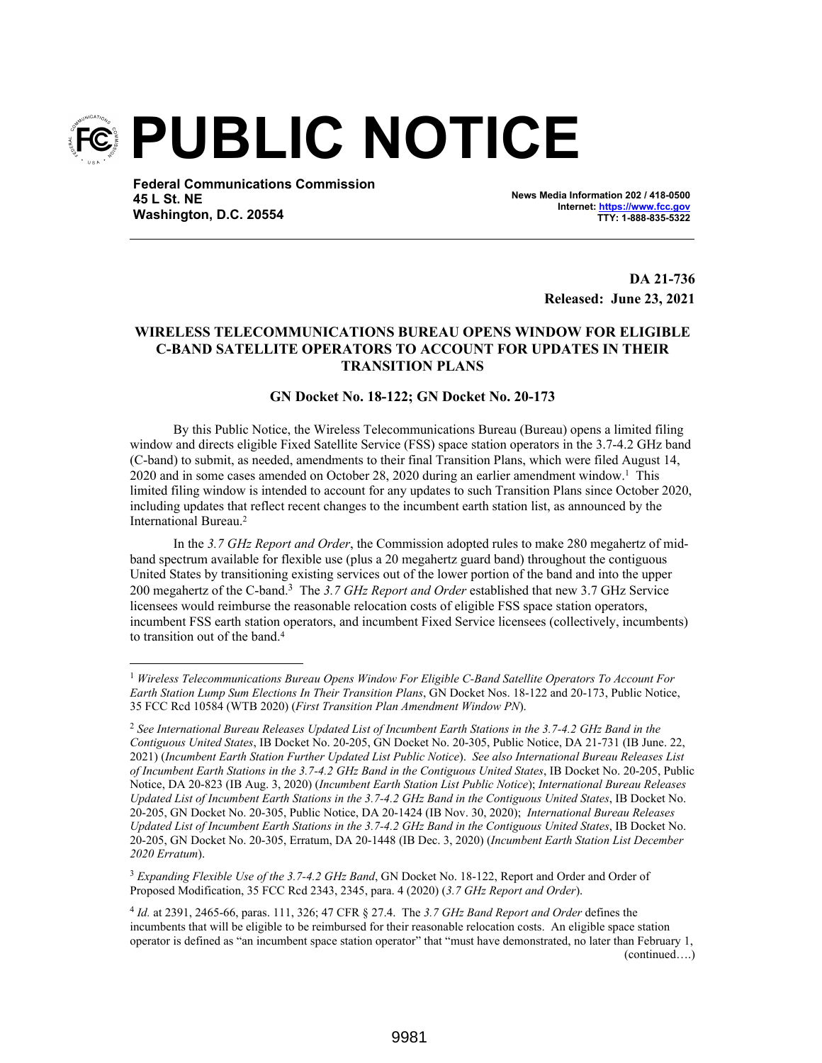

**Federal Communications Commission 45 L St. NE Washington, D.C. 20554**

**News Media Information 202 / 418-0500 Internet: https://www.fcc.gov TTY: 1-888-835-5322**

> **DA 21-736 Released: June 23, 2021**

## **WIRELESS TELECOMMUNICATIONS BUREAU OPENS WINDOW FOR ELIGIBLE C-BAND SATELLITE OPERATORS TO ACCOUNT FOR UPDATES IN THEIR TRANSITION PLANS**

## **GN Docket No. 18-122; GN Docket No. 20-173**

By this Public Notice, the Wireless Telecommunications Bureau (Bureau) opens a limited filing window and directs eligible Fixed Satellite Service (FSS) space station operators in the 3.7-4.2 GHz band (C-band) to submit, as needed, amendments to their final Transition Plans, which were filed August 14, 2020 and in some cases amended on October 28, 2020 during an earlier amendment window.<sup>1</sup> This limited filing window is intended to account for any updates to such Transition Plans since October 2020, including updates that reflect recent changes to the incumbent earth station list, as announced by the International Bureau.<sup>2</sup>

In the *3.7 GHz Report and Order*, the Commission adopted rules to make 280 megahertz of midband spectrum available for flexible use (plus a 20 megahertz guard band) throughout the contiguous United States by transitioning existing services out of the lower portion of the band and into the upper 200 megahertz of the C-band.<sup>3</sup> The *3.7 GHz Report and Order* established that new 3.7 GHz Service licensees would reimburse the reasonable relocation costs of eligible FSS space station operators, incumbent FSS earth station operators, and incumbent Fixed Service licensees (collectively, incumbents) to transition out of the band.<sup>4</sup>

<sup>3</sup> *Expanding Flexible Use of the 3.7-4.2 GHz Band*, GN Docket No. 18-122, Report and Order and Order of Proposed Modification, 35 FCC Rcd 2343, 2345, para. 4 (2020) (*3.7 GHz Report and Order*).

<sup>1</sup> *Wireless Telecommunications Bureau Opens Window For Eligible C-Band Satellite Operators To Account For Earth Station Lump Sum Elections In Their Transition Plans*, GN Docket Nos. 18-122 and 20-173, Public Notice, 35 FCC Rcd 10584 (WTB 2020) (*First Transition Plan Amendment Window PN*).

<sup>2</sup> *See International Bureau Releases Updated List of Incumbent Earth Stations in the 3.7-4.2 GHz Band in the Contiguous United States*, IB Docket No. 20-205, GN Docket No. 20-305, Public Notice, DA 21-731 (IB June. 22, 2021) (*Incumbent Earth Station Further Updated List Public Notice*). *See also International Bureau Releases List of Incumbent Earth Stations in the 3.7-4.2 GHz Band in the Contiguous United States*, IB Docket No. 20-205, Public Notice, DA 20-823 (IB Aug. 3, 2020) (*Incumbent Earth Station List Public Notice*); *International Bureau Releases Updated List of Incumbent Earth Stations in the 3.7-4.2 GHz Band in the Contiguous United States*, IB Docket No. 20-205, GN Docket No. 20-305, Public Notice, DA 20-1424 (IB Nov. 30, 2020); *International Bureau Releases Updated List of Incumbent Earth Stations in the 3.7-4.2 GHz Band in the Contiguous United States*, IB Docket No. 20-205, GN Docket No. 20-305, Erratum, DA 20-1448 (IB Dec. 3, 2020) (*Incumbent Earth Station List December 2020 Erratum*).

<sup>4</sup> *Id.* at 2391, 2465-66, paras. 111, 326; 47 CFR § 27.4. The *3.7 GHz Band Report and Order* defines the incumbents that will be eligible to be reimbursed for their reasonable relocation costs. An eligible space station operator is defined as "an incumbent space station operator" that "must have demonstrated, no later than February 1, (continued….)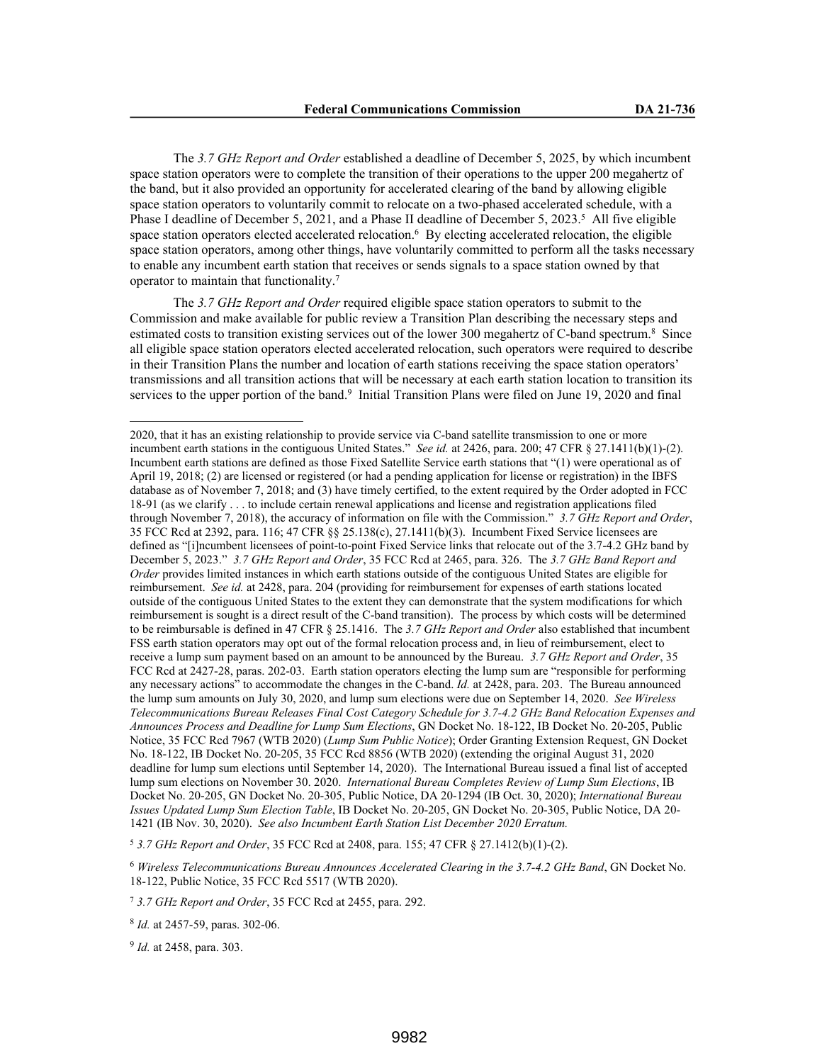The *3.7 GHz Report and Order* established a deadline of December 5, 2025, by which incumbent space station operators were to complete the transition of their operations to the upper 200 megahertz of the band, but it also provided an opportunity for accelerated clearing of the band by allowing eligible space station operators to voluntarily commit to relocate on a two-phased accelerated schedule, with a Phase I deadline of December 5, 2021, and a Phase II deadline of December 5, 2023.<sup>5</sup> All five eligible space station operators elected accelerated relocation.<sup>6</sup> By electing accelerated relocation, the eligible space station operators, among other things, have voluntarily committed to perform all the tasks necessary to enable any incumbent earth station that receives or sends signals to a space station owned by that operator to maintain that functionality.<sup>7</sup>

The *3.7 GHz Report and Order* required eligible space station operators to submit to the Commission and make available for public review a Transition Plan describing the necessary steps and estimated costs to transition existing services out of the lower 300 megahertz of C-band spectrum.<sup>8</sup> Since all eligible space station operators elected accelerated relocation, such operators were required to describe in their Transition Plans the number and location of earth stations receiving the space station operators' transmissions and all transition actions that will be necessary at each earth station location to transition its services to the upper portion of the band.<sup>9</sup> Initial Transition Plans were filed on June 19, 2020 and final

<sup>5</sup> *3.7 GHz Report and Order*, 35 FCC Rcd at 2408, para. 155; 47 CFR § 27.1412(b)(1)-(2).

<sup>6</sup> *Wireless Telecommunications Bureau Announces Accelerated Clearing in the 3.7-4.2 GHz Band*, GN Docket No. 18-122, Public Notice, 35 FCC Rcd 5517 (WTB 2020).

<sup>2020,</sup> that it has an existing relationship to provide service via C-band satellite transmission to one or more incumbent earth stations in the contiguous United States." *See id.* at 2426, para. 200; 47 CFR § 27.1411(b)(1)-(2). Incumbent earth stations are defined as those Fixed Satellite Service earth stations that "(1) were operational as of April 19, 2018; (2) are licensed or registered (or had a pending application for license or registration) in the IBFS database as of November 7, 2018; and (3) have timely certified, to the extent required by the Order adopted in FCC 18-91 (as we clarify . . . to include certain renewal applications and license and registration applications filed through November 7, 2018), the accuracy of information on file with the Commission." *3.7 GHz Report and Order*, 35 FCC Rcd at 2392, para. 116; 47 CFR §§ 25.138(c), 27.1411(b)(3). Incumbent Fixed Service licensees are defined as "[i]ncumbent licensees of point-to-point Fixed Service links that relocate out of the 3.7-4.2 GHz band by December 5, 2023." *3.7 GHz Report and Order*, 35 FCC Rcd at 2465, para. 326. The *3.7 GHz Band Report and Order* provides limited instances in which earth stations outside of the contiguous United States are eligible for reimbursement. *See id.* at 2428, para. 204 (providing for reimbursement for expenses of earth stations located outside of the contiguous United States to the extent they can demonstrate that the system modifications for which reimbursement is sought is a direct result of the C-band transition). The process by which costs will be determined to be reimbursable is defined in 47 CFR § 25.1416. The *3.7 GHz Report and Order* also established that incumbent FSS earth station operators may opt out of the formal relocation process and, in lieu of reimbursement, elect to receive a lump sum payment based on an amount to be announced by the Bureau. *3.7 GHz Report and Order*, 35 FCC Rcd at 2427-28, paras. 202-03. Earth station operators electing the lump sum are "responsible for performing any necessary actions" to accommodate the changes in the C-band. *Id.* at 2428, para. 203. The Bureau announced the lump sum amounts on July 30, 2020, and lump sum elections were due on September 14, 2020. *See Wireless Telecommunications Bureau Releases Final Cost Category Schedule for 3.7-4.2 GHz Band Relocation Expenses and Announces Process and Deadline for Lump Sum Elections*, GN Docket No. 18-122, IB Docket No. 20-205, Public Notice, 35 FCC Rcd 7967 (WTB 2020) (*Lump Sum Public Notice*); Order Granting Extension Request, GN Docket No. 18-122, IB Docket No. 20-205, 35 FCC Rcd 8856 (WTB 2020) (extending the original August 31, 2020 deadline for lump sum elections until September 14, 2020). The International Bureau issued a final list of accepted lump sum elections on November 30. 2020. *International Bureau Completes Review of Lump Sum Elections*, IB Docket No. 20-205, GN Docket No. 20-305, Public Notice, DA 20-1294 (IB Oct. 30, 2020); *International Bureau Issues Updated Lump Sum Election Table*, IB Docket No. 20-205, GN Docket No. 20-305, Public Notice, DA 20- 1421 (IB Nov. 30, 2020). *See also Incumbent Earth Station List December 2020 Erratum.*

<sup>7</sup> *3.7 GHz Report and Order*, 35 FCC Rcd at 2455, para. 292.

<sup>8</sup> *Id.* at 2457-59, paras. 302-06.

<sup>9</sup> *Id.* at 2458, para. 303.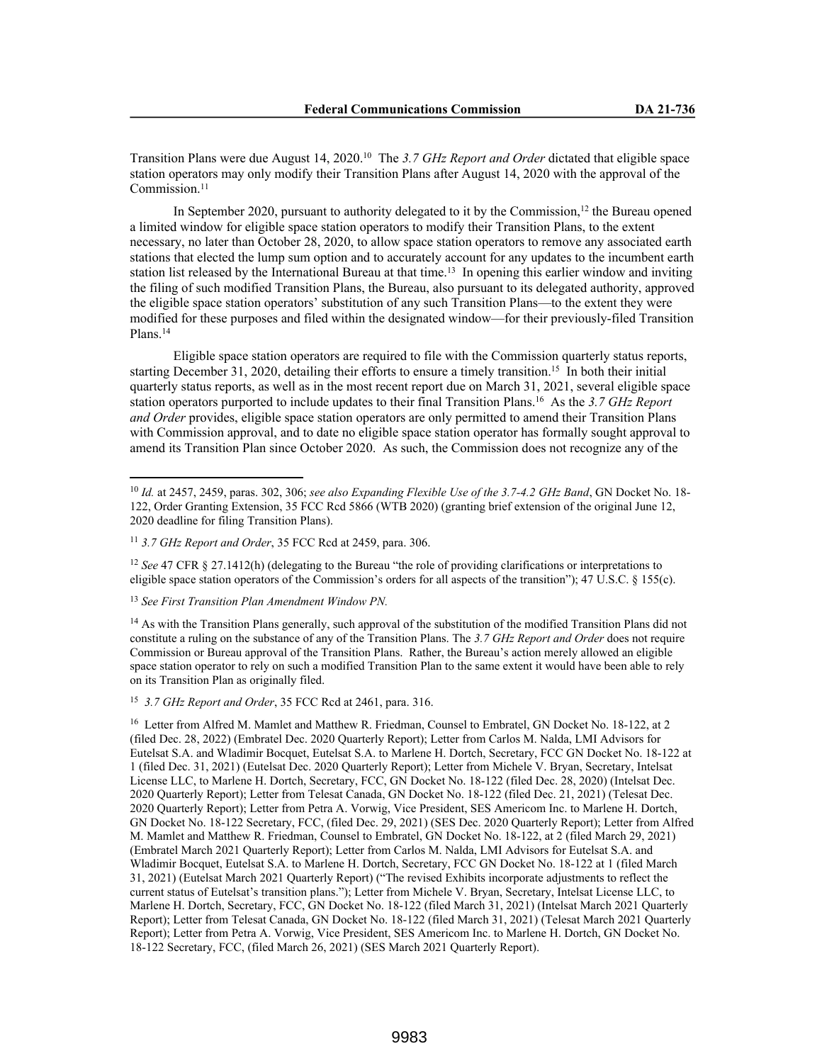Transition Plans were due August 14, 2020.<sup>10</sup> The *3.7 GHz Report and Order* dictated that eligible space station operators may only modify their Transition Plans after August 14, 2020 with the approval of the Commission.<sup>11</sup>

In September 2020, pursuant to authority delegated to it by the Commission,<sup>12</sup> the Bureau opened a limited window for eligible space station operators to modify their Transition Plans, to the extent necessary, no later than October 28, 2020, to allow space station operators to remove any associated earth stations that elected the lump sum option and to accurately account for any updates to the incumbent earth station list released by the International Bureau at that time.<sup>13</sup> In opening this earlier window and inviting the filing of such modified Transition Plans, the Bureau, also pursuant to its delegated authority, approved the eligible space station operators' substitution of any such Transition Plans—to the extent they were modified for these purposes and filed within the designated window—for their previously-filed Transition Plans.<sup>14</sup>

Eligible space station operators are required to file with the Commission quarterly status reports, starting December 31, 2020, detailing their efforts to ensure a timely transition.<sup>15</sup> In both their initial quarterly status reports, as well as in the most recent report due on March 31, 2021, several eligible space station operators purported to include updates to their final Transition Plans.<sup>16</sup> As the *3.7 GHz Report and Order* provides, eligible space station operators are only permitted to amend their Transition Plans with Commission approval, and to date no eligible space station operator has formally sought approval to amend its Transition Plan since October 2020. As such, the Commission does not recognize any of the

<sup>12</sup> *See* 47 CFR § 27.1412(h) (delegating to the Bureau "the role of providing clarifications or interpretations to eligible space station operators of the Commission's orders for all aspects of the transition"); 47 U.S.C. § 155(c).

<sup>13</sup> *See First Transition Plan Amendment Window PN.*

<sup>14</sup> As with the Transition Plans generally, such approval of the substitution of the modified Transition Plans did not constitute a ruling on the substance of any of the Transition Plans. The *3.7 GHz Report and Order* does not require Commission or Bureau approval of the Transition Plans. Rather, the Bureau's action merely allowed an eligible space station operator to rely on such a modified Transition Plan to the same extent it would have been able to rely on its Transition Plan as originally filed.

15 *3.7 GHz Report and Order*, 35 FCC Rcd at 2461, para. 316.

<sup>10</sup> *Id.* at 2457, 2459, paras. 302, 306; *see also Expanding Flexible Use of the 3.7-4.2 GHz Band*, GN Docket No. 18- 122, Order Granting Extension, 35 FCC Rcd 5866 (WTB 2020) (granting brief extension of the original June 12, 2020 deadline for filing Transition Plans).

<sup>11</sup> *3.7 GHz Report and Order*, 35 FCC Rcd at 2459, para. 306.

<sup>&</sup>lt;sup>16</sup> Letter from Alfred M. Mamlet and Matthew R. Friedman, Counsel to Embratel, GN Docket No. 18-122, at 2 (filed Dec. 28, 2022) (Embratel Dec. 2020 Quarterly Report); Letter from Carlos M. Nalda, LMI Advisors for Eutelsat S.A. and Wladimir Bocquet, Eutelsat S.A. to Marlene H. Dortch, Secretary, FCC GN Docket No. 18-122 at 1 (filed Dec. 31, 2021) (Eutelsat Dec. 2020 Quarterly Report); Letter from Michele V. Bryan, Secretary, Intelsat License LLC, to Marlene H. Dortch, Secretary, FCC, GN Docket No. 18-122 (filed Dec. 28, 2020) (Intelsat Dec. 2020 Quarterly Report); Letter from Telesat Canada, GN Docket No. 18-122 (filed Dec. 21, 2021) (Telesat Dec. 2020 Quarterly Report); Letter from Petra A. Vorwig, Vice President, SES Americom Inc. to Marlene H. Dortch, GN Docket No. 18-122 Secretary, FCC, (filed Dec. 29, 2021) (SES Dec. 2020 Quarterly Report); Letter from Alfred M. Mamlet and Matthew R. Friedman, Counsel to Embratel, GN Docket No. 18-122, at 2 (filed March 29, 2021) (Embratel March 2021 Quarterly Report); Letter from Carlos M. Nalda, LMI Advisors for Eutelsat S.A. and Wladimir Bocquet, Eutelsat S.A. to Marlene H. Dortch, Secretary, FCC GN Docket No. 18-122 at 1 (filed March 31, 2021) (Eutelsat March 2021 Quarterly Report) ("The revised Exhibits incorporate adjustments to reflect the current status of Eutelsat's transition plans."); Letter from Michele V. Bryan, Secretary, Intelsat License LLC, to Marlene H. Dortch, Secretary, FCC, GN Docket No. 18-122 (filed March 31, 2021) (Intelsat March 2021 Quarterly Report); Letter from Telesat Canada, GN Docket No. 18-122 (filed March 31, 2021) (Telesat March 2021 Quarterly Report); Letter from Petra A. Vorwig, Vice President, SES Americom Inc. to Marlene H. Dortch, GN Docket No. 18-122 Secretary, FCC, (filed March 26, 2021) (SES March 2021 Quarterly Report).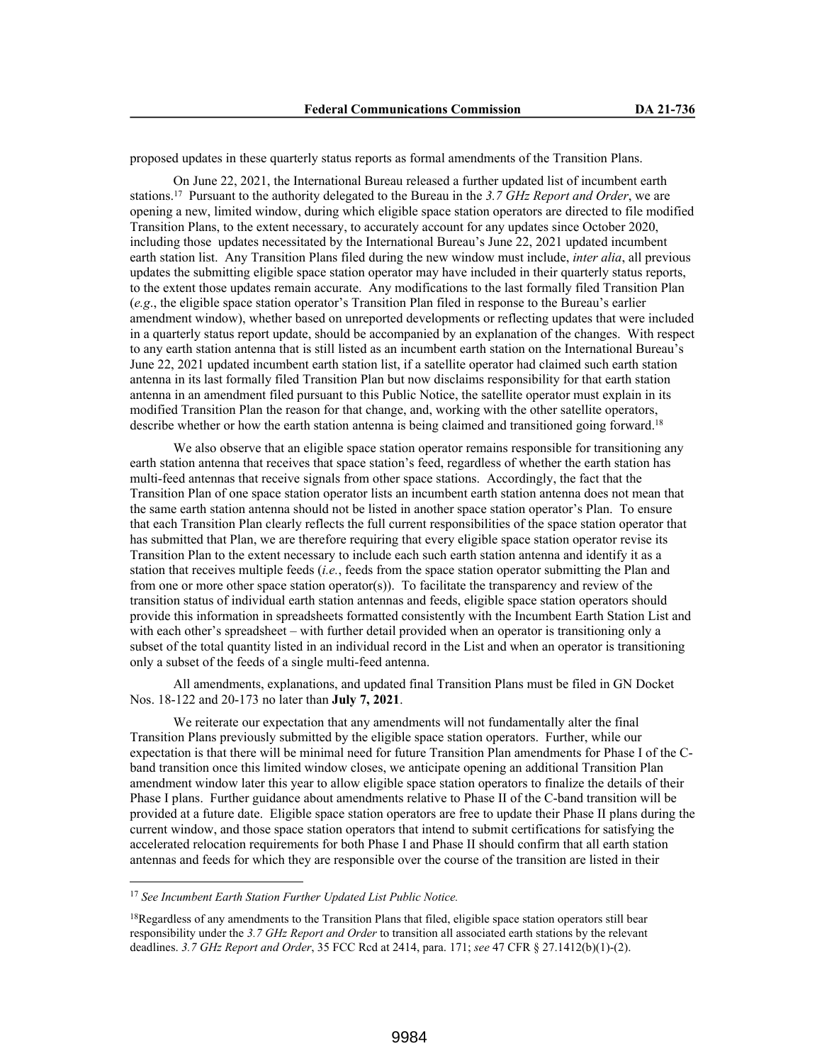proposed updates in these quarterly status reports as formal amendments of the Transition Plans.

On June 22, 2021, the International Bureau released a further updated list of incumbent earth stations.<sup>17</sup> Pursuant to the authority delegated to the Bureau in the *3.7 GHz Report and Order*, we are opening a new, limited window, during which eligible space station operators are directed to file modified Transition Plans, to the extent necessary, to accurately account for any updates since October 2020, including those updates necessitated by the International Bureau's June 22, 2021 updated incumbent earth station list. Any Transition Plans filed during the new window must include, *inter alia*, all previous updates the submitting eligible space station operator may have included in their quarterly status reports, to the extent those updates remain accurate. Any modifications to the last formally filed Transition Plan (*e.g*., the eligible space station operator's Transition Plan filed in response to the Bureau's earlier amendment window), whether based on unreported developments or reflecting updates that were included in a quarterly status report update, should be accompanied by an explanation of the changes. With respect to any earth station antenna that is still listed as an incumbent earth station on the International Bureau's June 22, 2021 updated incumbent earth station list, if a satellite operator had claimed such earth station antenna in its last formally filed Transition Plan but now disclaims responsibility for that earth station antenna in an amendment filed pursuant to this Public Notice, the satellite operator must explain in its modified Transition Plan the reason for that change, and, working with the other satellite operators, describe whether or how the earth station antenna is being claimed and transitioned going forward.<sup>18</sup>

We also observe that an eligible space station operator remains responsible for transitioning any earth station antenna that receives that space station's feed, regardless of whether the earth station has multi-feed antennas that receive signals from other space stations. Accordingly, the fact that the Transition Plan of one space station operator lists an incumbent earth station antenna does not mean that the same earth station antenna should not be listed in another space station operator's Plan. To ensure that each Transition Plan clearly reflects the full current responsibilities of the space station operator that has submitted that Plan, we are therefore requiring that every eligible space station operator revise its Transition Plan to the extent necessary to include each such earth station antenna and identify it as a station that receives multiple feeds (*i.e.*, feeds from the space station operator submitting the Plan and from one or more other space station operator(s)). To facilitate the transparency and review of the transition status of individual earth station antennas and feeds, eligible space station operators should provide this information in spreadsheets formatted consistently with the Incumbent Earth Station List and with each other's spreadsheet – with further detail provided when an operator is transitioning only a subset of the total quantity listed in an individual record in the List and when an operator is transitioning only a subset of the feeds of a single multi-feed antenna.

All amendments, explanations, and updated final Transition Plans must be filed in GN Docket Nos. 18-122 and 20-173 no later than **July 7, 2021**.

We reiterate our expectation that any amendments will not fundamentally alter the final Transition Plans previously submitted by the eligible space station operators. Further, while our expectation is that there will be minimal need for future Transition Plan amendments for Phase I of the Cband transition once this limited window closes, we anticipate opening an additional Transition Plan amendment window later this year to allow eligible space station operators to finalize the details of their Phase I plans. Further guidance about amendments relative to Phase II of the C-band transition will be provided at a future date. Eligible space station operators are free to update their Phase II plans during the current window, and those space station operators that intend to submit certifications for satisfying the accelerated relocation requirements for both Phase I and Phase II should confirm that all earth station antennas and feeds for which they are responsible over the course of the transition are listed in their

<sup>17</sup> *See Incumbent Earth Station Further Updated List Public Notice.*

<sup>&</sup>lt;sup>18</sup>Regardless of any amendments to the Transition Plans that filed, eligible space station operators still bear responsibility under the *3.7 GHz Report and Order* to transition all associated earth stations by the relevant deadlines. *3.7 GHz Report and Order*, 35 FCC Rcd at 2414, para. 171; *see* 47 CFR § 27.1412(b)(1)-(2).